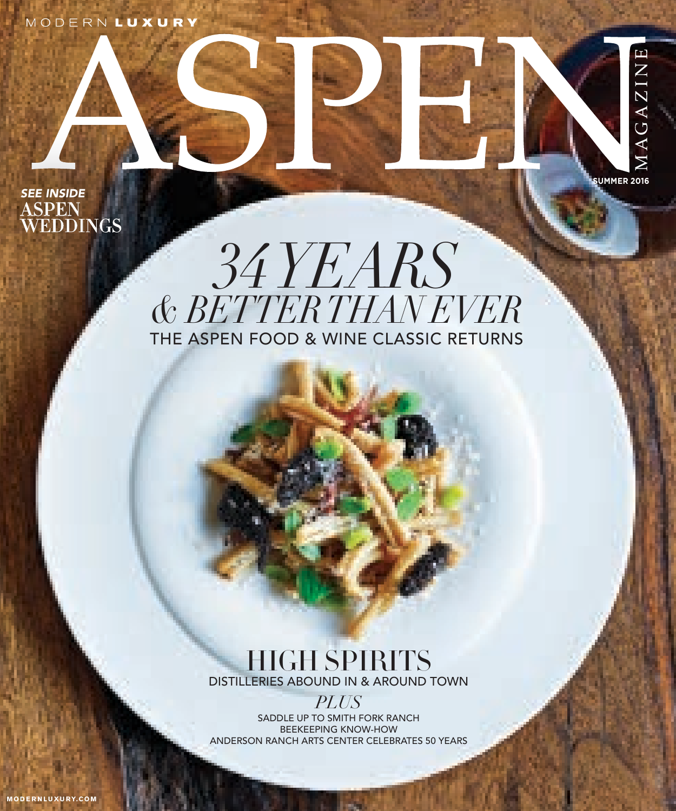MODERNLUXURY



## THE ASPEN FOOD & WINE CLASSIC RETURNS *34 YEARS & BETTER THAN EVER*

**SUMMER 2016**

MAGAZINE

### HIGH SPIRITS DISTILLERIES ABOUND IN & AROUND TOWN

*PLUS* SADDLE UP TO SMITH FORK RANCH BEEKEEPING KNOW-HOW ANDERSON RANCH ARTS CENTER CELEBRATES 50 YEARS

**M O D E R N L UX U RY.COM**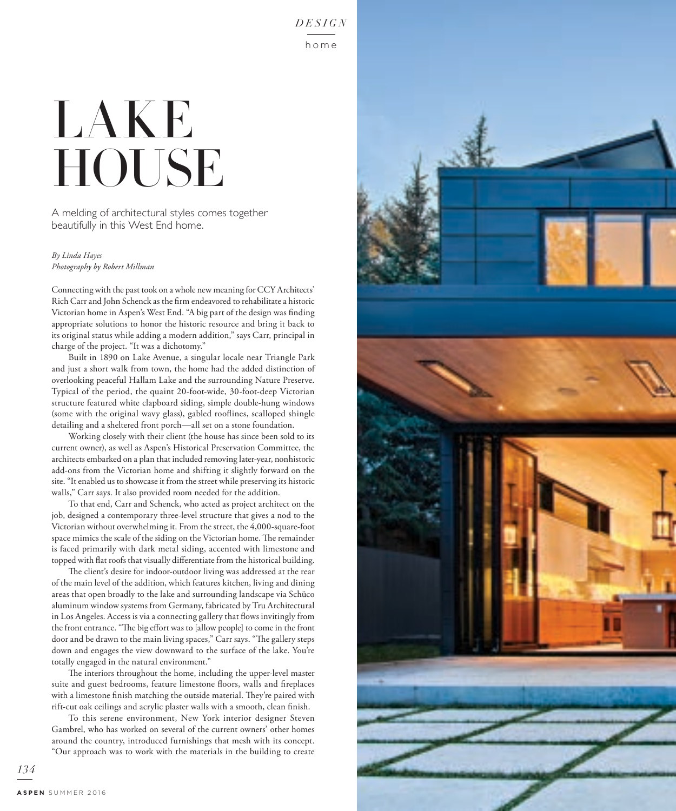# LAKE **HOUSE**

A melding of architectural styles comes together beautifully in this West End home.

*By Linda Hayes Photography by Robert Millman*

Connecting with the past took on a whole new meaning for CCY Architects' Rich Carr and John Schenck as the firm endeavored to rehabilitate a historic Victorian home in Aspen's West End. "A big part of the design was finding appropriate solutions to honor the historic resource and bring it back to its original status while adding a modern addition," says Carr, principal in charge of the project. "It was a dichotomy."

Built in 1890 on Lake Avenue, a singular locale near Triangle Park and just a short walk from town, the home had the added distinction of overlooking peaceful Hallam Lake and the surrounding Nature Preserve. Typical of the period, the quaint 20-foot-wide, 30-foot-deep Victorian structure featured white clapboard siding, simple double-hung windows (some with the original wavy glass), gabled rooflines, scalloped shingle detailing and a sheltered front porch—all set on a stone foundation.

Working closely with their client (the house has since been sold to its current owner), as well as Aspen's Historical Preservation Committee, the architects embarked on a plan that included removing later-year, nonhistoric add-ons from the Victorian home and shifting it slightly forward on the site. "It enabled us to showcase it from the street while preserving its historic walls," Carr says. It also provided room needed for the addition.

To that end, Carr and Schenck, who acted as project architect on the job, designed a contemporary three-level structure that gives a nod to the Victorian without overwhelming it. From the street, the 4,000-square-foot space mimics the scale of the siding on the Victorian home. The remainder is faced primarily with dark metal siding, accented with limestone and topped with flat roofs that visually differentiate from the historical building.

The client's desire for indoor-outdoor living was addressed at the rear of the main level of the addition, which features kitchen, living and dining areas that open broadly to the lake and surrounding landscape via Schüco aluminum window systems from Germany, fabricated by Tru Architectural in Los Angeles. Access is via a connecting gallery that flows invitingly from the front entrance. "The big effort was to [allow people] to come in the front door and be drawn to the main living spaces," Carr says. "The gallery steps down and engages the view downward to the surface of the lake. You're totally engaged in the natural environment."

The interiors throughout the home, including the upper-level master suite and guest bedrooms, feature limestone floors, walls and fireplaces with a limestone finish matching the outside material. They're paired with rift-cut oak ceilings and acrylic plaster walls with a smooth, clean finish.

To this serene environment, New York interior designer Steven Gambrel, who has worked on several of the current owners' other homes around the country, introduced furnishings that mesh with its concept. "Our approach was to work with the materials in the building to create



*134*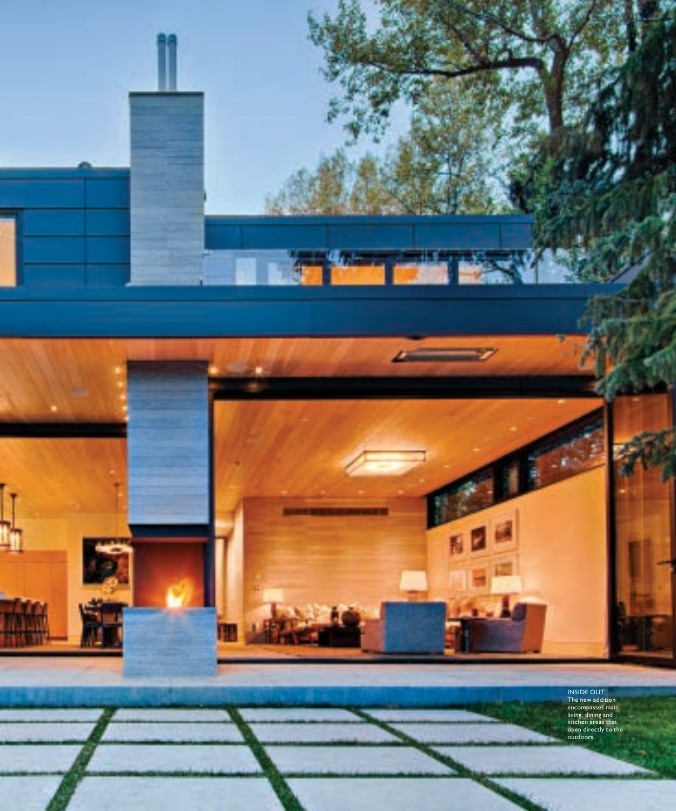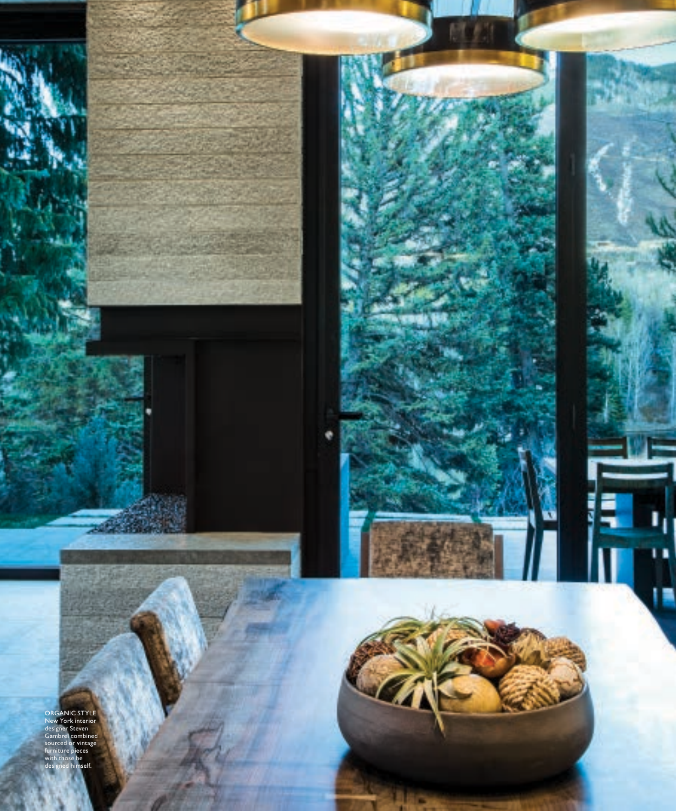